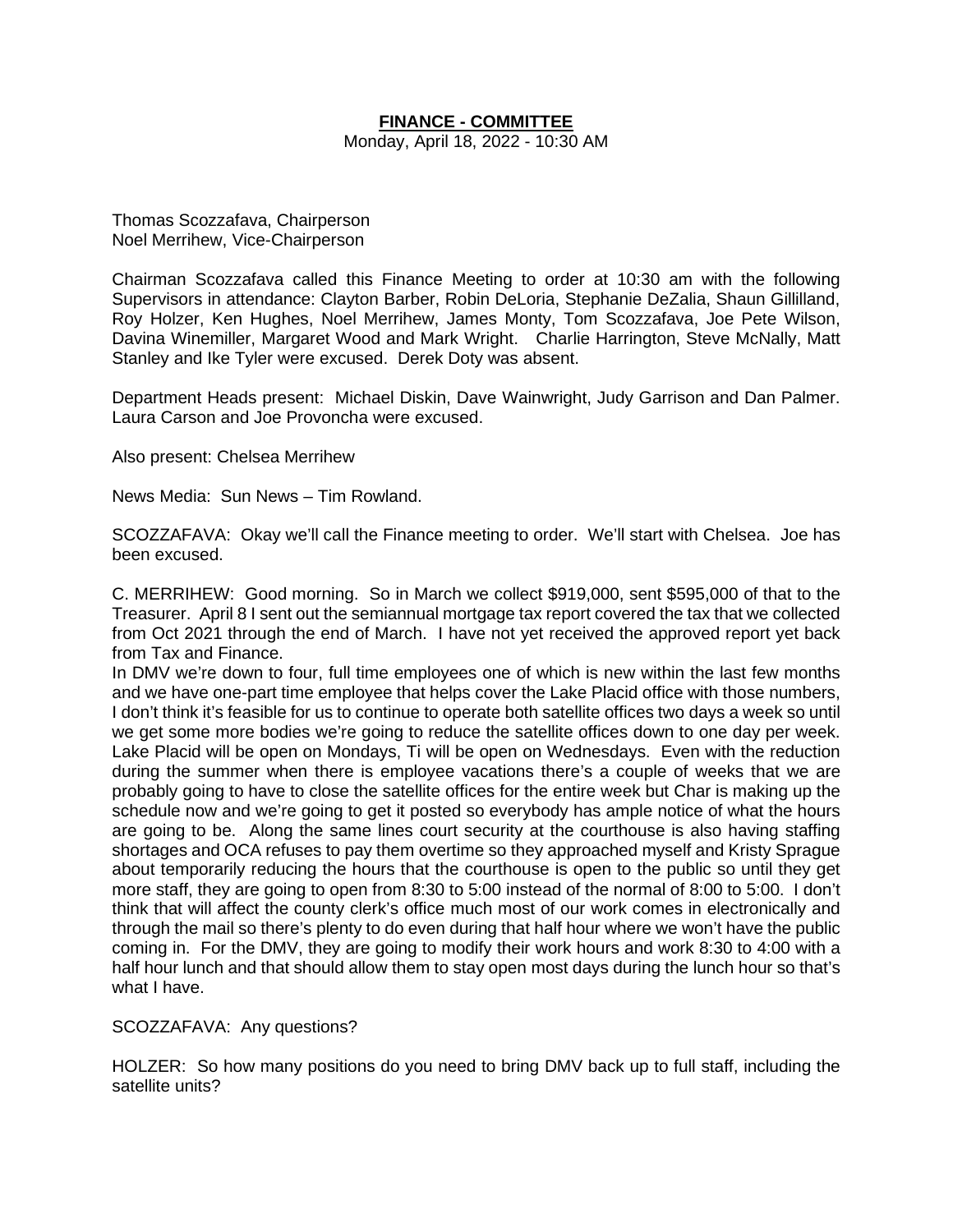# **FINANCE - COMMITTEE**

Monday, April 18, 2022 - 10:30 AM

Thomas Scozzafava, Chairperson Noel Merrihew, Vice-Chairperson

Chairman Scozzafava called this Finance Meeting to order at 10:30 am with the following Supervisors in attendance: Clayton Barber, Robin DeLoria, Stephanie DeZalia, Shaun Gillilland, Roy Holzer, Ken Hughes, Noel Merrihew, James Monty, Tom Scozzafava, Joe Pete Wilson, Davina Winemiller, Margaret Wood and Mark Wright. Charlie Harrington, Steve McNally, Matt Stanley and Ike Tyler were excused. Derek Doty was absent.

Department Heads present: Michael Diskin, Dave Wainwright, Judy Garrison and Dan Palmer. Laura Carson and Joe Provoncha were excused.

Also present: Chelsea Merrihew

News Media: Sun News – Tim Rowland.

SCOZZAFAVA: Okay we'll call the Finance meeting to order. We'll start with Chelsea. Joe has been excused.

C. MERRIHEW: Good morning. So in March we collect \$919,000, sent \$595,000 of that to the Treasurer. April 8 I sent out the semiannual mortgage tax report covered the tax that we collected from Oct 2021 through the end of March. I have not yet received the approved report yet back from Tax and Finance.

In DMV we're down to four, full time employees one of which is new within the last few months and we have one-part time employee that helps cover the Lake Placid office with those numbers, I don't think it's feasible for us to continue to operate both satellite offices two days a week so until we get some more bodies we're going to reduce the satellite offices down to one day per week. Lake Placid will be open on Mondays, Ti will be open on Wednesdays. Even with the reduction during the summer when there is employee vacations there's a couple of weeks that we are probably going to have to close the satellite offices for the entire week but Char is making up the schedule now and we're going to get it posted so everybody has ample notice of what the hours are going to be. Along the same lines court security at the courthouse is also having staffing shortages and OCA refuses to pay them overtime so they approached myself and Kristy Sprague about temporarily reducing the hours that the courthouse is open to the public so until they get more staff, they are going to open from 8:30 to 5:00 instead of the normal of 8:00 to 5:00. I don't think that will affect the county clerk's office much most of our work comes in electronically and through the mail so there's plenty to do even during that half hour where we won't have the public coming in. For the DMV, they are going to modify their work hours and work 8:30 to 4:00 with a half hour lunch and that should allow them to stay open most days during the lunch hour so that's what I have.

SCOZZAFAVA: Any questions?

HOLZER: So how many positions do you need to bring DMV back up to full staff, including the satellite units?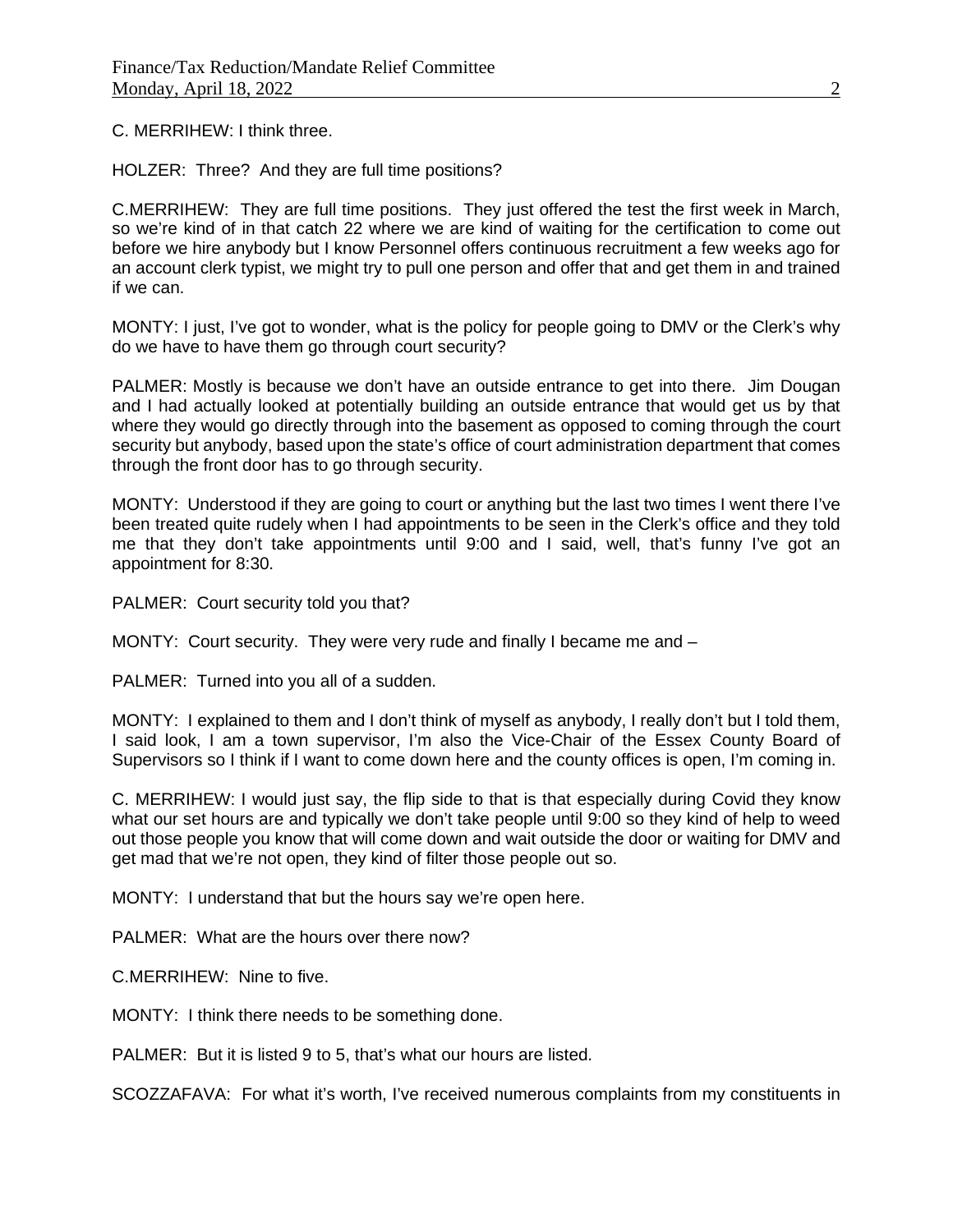C. MERRIHEW: I think three.

HOLZER: Three? And they are full time positions?

C.MERRIHEW: They are full time positions. They just offered the test the first week in March, so we're kind of in that catch 22 where we are kind of waiting for the certification to come out before we hire anybody but I know Personnel offers continuous recruitment a few weeks ago for an account clerk typist, we might try to pull one person and offer that and get them in and trained if we can.

MONTY: I just, I've got to wonder, what is the policy for people going to DMV or the Clerk's why do we have to have them go through court security?

PALMER: Mostly is because we don't have an outside entrance to get into there. Jim Dougan and I had actually looked at potentially building an outside entrance that would get us by that where they would go directly through into the basement as opposed to coming through the court security but anybody, based upon the state's office of court administration department that comes through the front door has to go through security.

MONTY: Understood if they are going to court or anything but the last two times I went there I've been treated quite rudely when I had appointments to be seen in the Clerk's office and they told me that they don't take appointments until 9:00 and I said, well, that's funny I've got an appointment for 8:30.

PALMER: Court security told you that?

MONTY: Court security. They were very rude and finally I became me and –

PALMER: Turned into you all of a sudden.

MONTY: I explained to them and I don't think of myself as anybody, I really don't but I told them, I said look, I am a town supervisor, I'm also the Vice-Chair of the Essex County Board of Supervisors so I think if I want to come down here and the county offices is open, I'm coming in.

C. MERRIHEW: I would just say, the flip side to that is that especially during Covid they know what our set hours are and typically we don't take people until 9:00 so they kind of help to weed out those people you know that will come down and wait outside the door or waiting for DMV and get mad that we're not open, they kind of filter those people out so.

MONTY: I understand that but the hours say we're open here.

PALMER: What are the hours over there now?

C.MERRIHEW: Nine to five.

MONTY: I think there needs to be something done.

PALMER: But it is listed 9 to 5, that's what our hours are listed.

SCOZZAFAVA: For what it's worth, I've received numerous complaints from my constituents in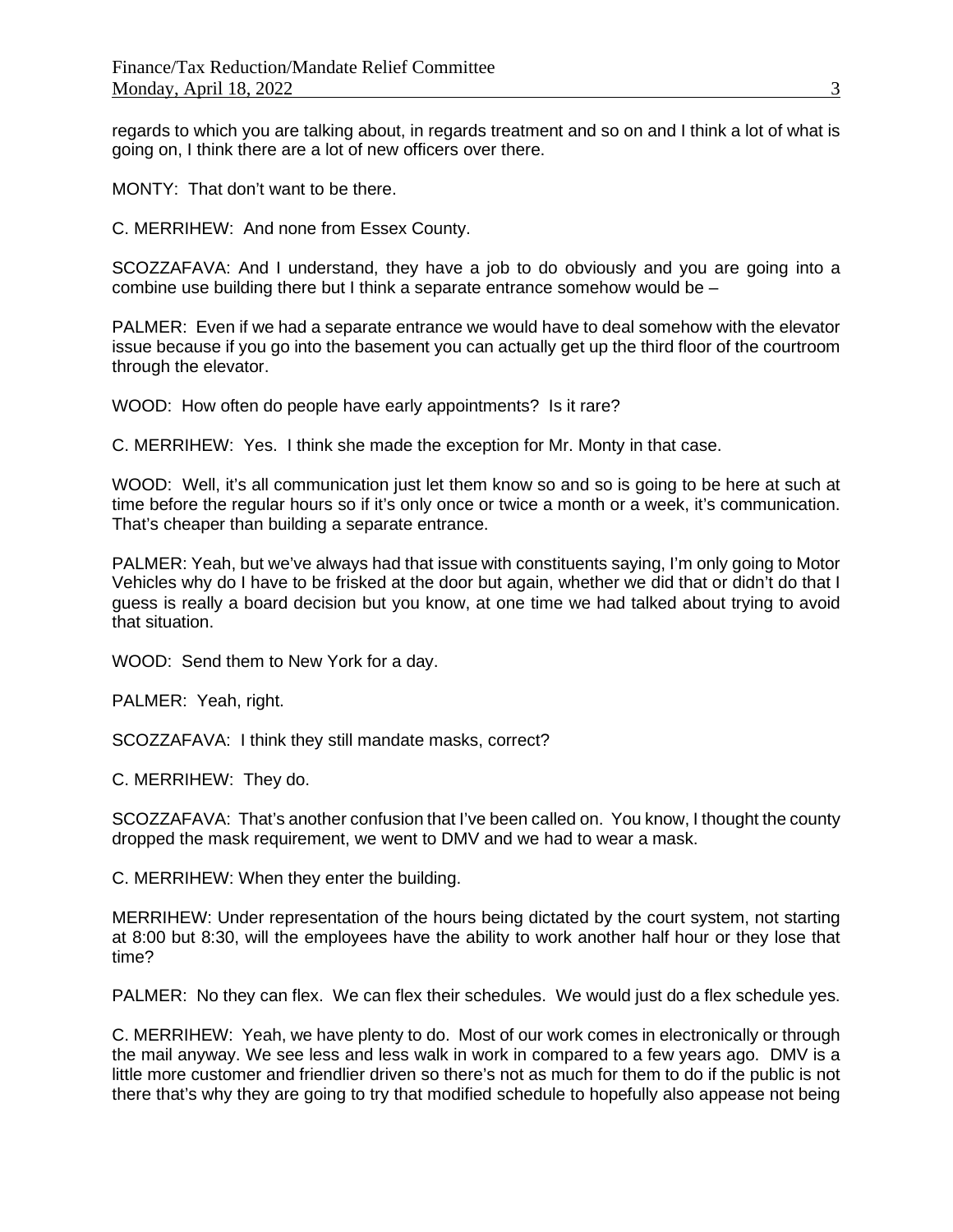regards to which you are talking about, in regards treatment and so on and I think a lot of what is going on, I think there are a lot of new officers over there.

MONTY: That don't want to be there.

C. MERRIHEW: And none from Essex County.

SCOZZAFAVA: And I understand, they have a job to do obviously and you are going into a combine use building there but I think a separate entrance somehow would be –

PALMER: Even if we had a separate entrance we would have to deal somehow with the elevator issue because if you go into the basement you can actually get up the third floor of the courtroom through the elevator.

WOOD: How often do people have early appointments? Is it rare?

C. MERRIHEW: Yes. I think she made the exception for Mr. Monty in that case.

WOOD: Well, it's all communication just let them know so and so is going to be here at such at time before the regular hours so if it's only once or twice a month or a week, it's communication. That's cheaper than building a separate entrance.

PALMER: Yeah, but we've always had that issue with constituents saying, I'm only going to Motor Vehicles why do I have to be frisked at the door but again, whether we did that or didn't do that I guess is really a board decision but you know, at one time we had talked about trying to avoid that situation.

WOOD: Send them to New York for a day.

PALMER: Yeah, right.

SCOZZAFAVA: I think they still mandate masks, correct?

C. MERRIHEW: They do.

SCOZZAFAVA: That's another confusion that I've been called on. You know, I thought the county dropped the mask requirement, we went to DMV and we had to wear a mask.

C. MERRIHEW: When they enter the building.

MERRIHEW: Under representation of the hours being dictated by the court system, not starting at 8:00 but 8:30, will the employees have the ability to work another half hour or they lose that time?

PALMER: No they can flex. We can flex their schedules. We would just do a flex schedule yes.

C. MERRIHEW: Yeah, we have plenty to do. Most of our work comes in electronically or through the mail anyway. We see less and less walk in work in compared to a few years ago. DMV is a little more customer and friendlier driven so there's not as much for them to do if the public is not there that's why they are going to try that modified schedule to hopefully also appease not being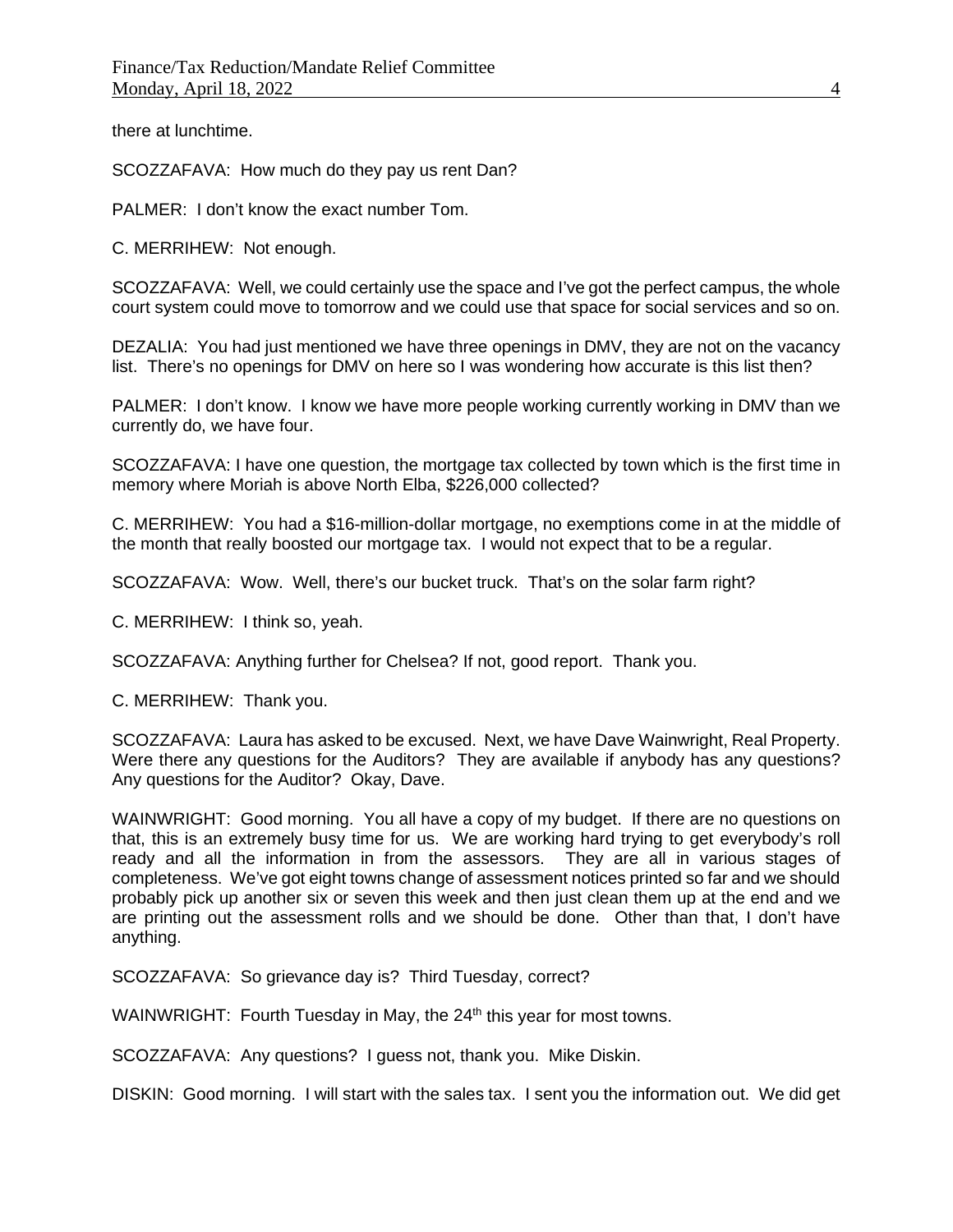there at lunchtime.

SCOZZAFAVA: How much do they pay us rent Dan?

PALMER: I don't know the exact number Tom.

C. MERRIHEW: Not enough.

SCOZZAFAVA: Well, we could certainly use the space and I've got the perfect campus, the whole court system could move to tomorrow and we could use that space for social services and so on.

DEZALIA: You had just mentioned we have three openings in DMV, they are not on the vacancy list. There's no openings for DMV on here so I was wondering how accurate is this list then?

PALMER: I don't know. I know we have more people working currently working in DMV than we currently do, we have four.

SCOZZAFAVA: I have one question, the mortgage tax collected by town which is the first time in memory where Moriah is above North Elba, \$226,000 collected?

C. MERRIHEW: You had a \$16-million-dollar mortgage, no exemptions come in at the middle of the month that really boosted our mortgage tax. I would not expect that to be a regular.

SCOZZAFAVA: Wow. Well, there's our bucket truck. That's on the solar farm right?

C. MERRIHEW: I think so, yeah.

SCOZZAFAVA: Anything further for Chelsea? If not, good report. Thank you.

C. MERRIHEW: Thank you.

SCOZZAFAVA: Laura has asked to be excused. Next, we have Dave Wainwright, Real Property. Were there any questions for the Auditors? They are available if anybody has any questions? Any questions for the Auditor? Okay, Dave.

WAINWRIGHT: Good morning. You all have a copy of my budget. If there are no questions on that, this is an extremely busy time for us. We are working hard trying to get everybody's roll ready and all the information in from the assessors. They are all in various stages of completeness. We've got eight towns change of assessment notices printed so far and we should probably pick up another six or seven this week and then just clean them up at the end and we are printing out the assessment rolls and we should be done. Other than that, I don't have anything.

SCOZZAFAVA: So grievance day is? Third Tuesday, correct?

WAINWRIGHT: Fourth Tuesday in May, the 24<sup>th</sup> this year for most towns.

SCOZZAFAVA: Any questions? I guess not, thank you. Mike Diskin.

DISKIN: Good morning. I will start with the sales tax. I sent you the information out. We did get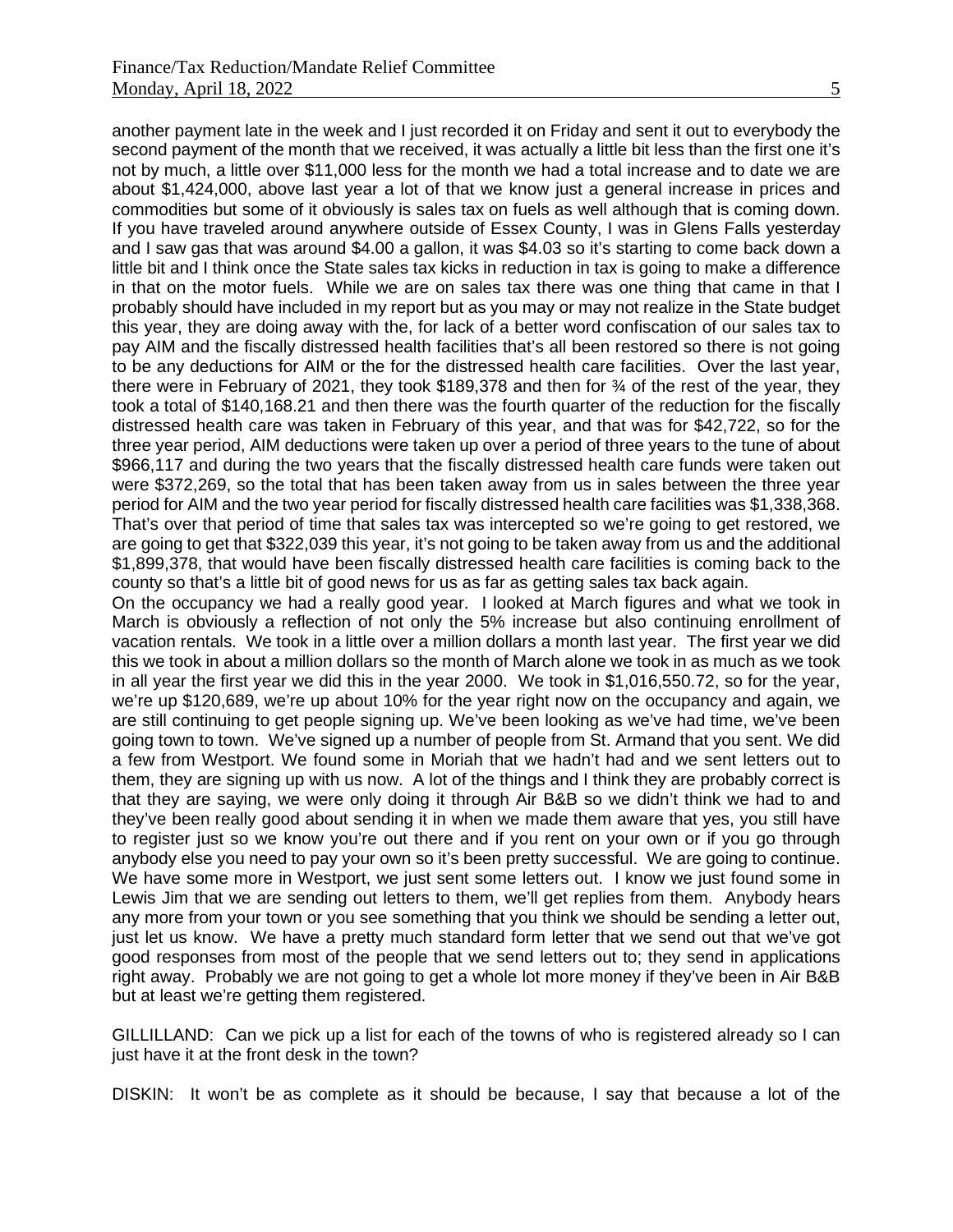another payment late in the week and I just recorded it on Friday and sent it out to everybody the second payment of the month that we received, it was actually a little bit less than the first one it's not by much, a little over \$11,000 less for the month we had a total increase and to date we are about \$1,424,000, above last year a lot of that we know just a general increase in prices and commodities but some of it obviously is sales tax on fuels as well although that is coming down. If you have traveled around anywhere outside of Essex County, I was in Glens Falls yesterday and I saw gas that was around \$4.00 a gallon, it was \$4.03 so it's starting to come back down a little bit and I think once the State sales tax kicks in reduction in tax is going to make a difference in that on the motor fuels. While we are on sales tax there was one thing that came in that I probably should have included in my report but as you may or may not realize in the State budget this year, they are doing away with the, for lack of a better word confiscation of our sales tax to pay AIM and the fiscally distressed health facilities that's all been restored so there is not going to be any deductions for AIM or the for the distressed health care facilities. Over the last year, there were in February of 2021, they took \$189,378 and then for ¾ of the rest of the year, they took a total of \$140,168.21 and then there was the fourth quarter of the reduction for the fiscally distressed health care was taken in February of this year, and that was for \$42,722, so for the three year period, AIM deductions were taken up over a period of three years to the tune of about \$966,117 and during the two years that the fiscally distressed health care funds were taken out were \$372,269, so the total that has been taken away from us in sales between the three year period for AIM and the two year period for fiscally distressed health care facilities was \$1,338,368. That's over that period of time that sales tax was intercepted so we're going to get restored, we are going to get that \$322,039 this year, it's not going to be taken away from us and the additional \$1,899,378, that would have been fiscally distressed health care facilities is coming back to the county so that's a little bit of good news for us as far as getting sales tax back again.

On the occupancy we had a really good year. I looked at March figures and what we took in March is obviously a reflection of not only the 5% increase but also continuing enrollment of vacation rentals. We took in a little over a million dollars a month last year. The first year we did this we took in about a million dollars so the month of March alone we took in as much as we took in all year the first year we did this in the year 2000. We took in \$1,016,550.72, so for the year, we're up \$120,689, we're up about 10% for the year right now on the occupancy and again, we are still continuing to get people signing up. We've been looking as we've had time, we've been going town to town. We've signed up a number of people from St. Armand that you sent. We did a few from Westport. We found some in Moriah that we hadn't had and we sent letters out to them, they are signing up with us now. A lot of the things and I think they are probably correct is that they are saying, we were only doing it through Air B&B so we didn't think we had to and they've been really good about sending it in when we made them aware that yes, you still have to register just so we know you're out there and if you rent on your own or if you go through anybody else you need to pay your own so it's been pretty successful. We are going to continue. We have some more in Westport, we just sent some letters out. I know we just found some in Lewis Jim that we are sending out letters to them, we'll get replies from them. Anybody hears any more from your town or you see something that you think we should be sending a letter out, just let us know. We have a pretty much standard form letter that we send out that we've got good responses from most of the people that we send letters out to; they send in applications right away. Probably we are not going to get a whole lot more money if they've been in Air B&B but at least we're getting them registered.

GILLILLAND: Can we pick up a list for each of the towns of who is registered already so I can just have it at the front desk in the town?

DISKIN: It won't be as complete as it should be because, I say that because a lot of the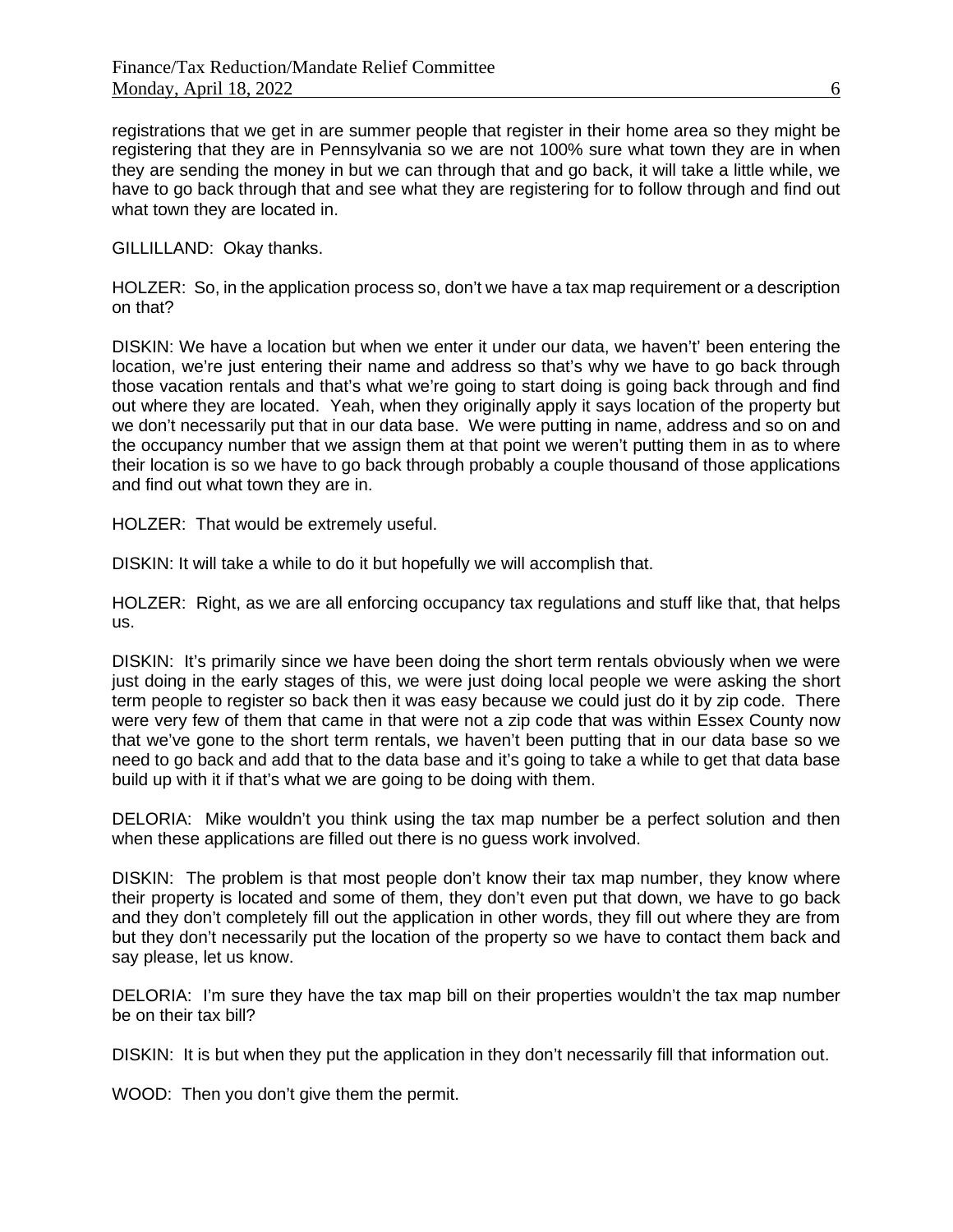registrations that we get in are summer people that register in their home area so they might be registering that they are in Pennsylvania so we are not 100% sure what town they are in when they are sending the money in but we can through that and go back, it will take a little while, we have to go back through that and see what they are registering for to follow through and find out what town they are located in.

GILLILLAND: Okay thanks.

HOLZER: So, in the application process so, don't we have a tax map requirement or a description on that?

DISKIN: We have a location but when we enter it under our data, we haven't' been entering the location, we're just entering their name and address so that's why we have to go back through those vacation rentals and that's what we're going to start doing is going back through and find out where they are located. Yeah, when they originally apply it says location of the property but we don't necessarily put that in our data base. We were putting in name, address and so on and the occupancy number that we assign them at that point we weren't putting them in as to where their location is so we have to go back through probably a couple thousand of those applications and find out what town they are in.

HOLZER: That would be extremely useful.

DISKIN: It will take a while to do it but hopefully we will accomplish that.

HOLZER: Right, as we are all enforcing occupancy tax regulations and stuff like that, that helps us.

DISKIN: It's primarily since we have been doing the short term rentals obviously when we were just doing in the early stages of this, we were just doing local people we were asking the short term people to register so back then it was easy because we could just do it by zip code. There were very few of them that came in that were not a zip code that was within Essex County now that we've gone to the short term rentals, we haven't been putting that in our data base so we need to go back and add that to the data base and it's going to take a while to get that data base build up with it if that's what we are going to be doing with them.

DELORIA: Mike wouldn't you think using the tax map number be a perfect solution and then when these applications are filled out there is no guess work involved.

DISKIN: The problem is that most people don't know their tax map number, they know where their property is located and some of them, they don't even put that down, we have to go back and they don't completely fill out the application in other words, they fill out where they are from but they don't necessarily put the location of the property so we have to contact them back and say please, let us know.

DELORIA: I'm sure they have the tax map bill on their properties wouldn't the tax map number be on their tax bill?

DISKIN: It is but when they put the application in they don't necessarily fill that information out.

WOOD: Then you don't give them the permit.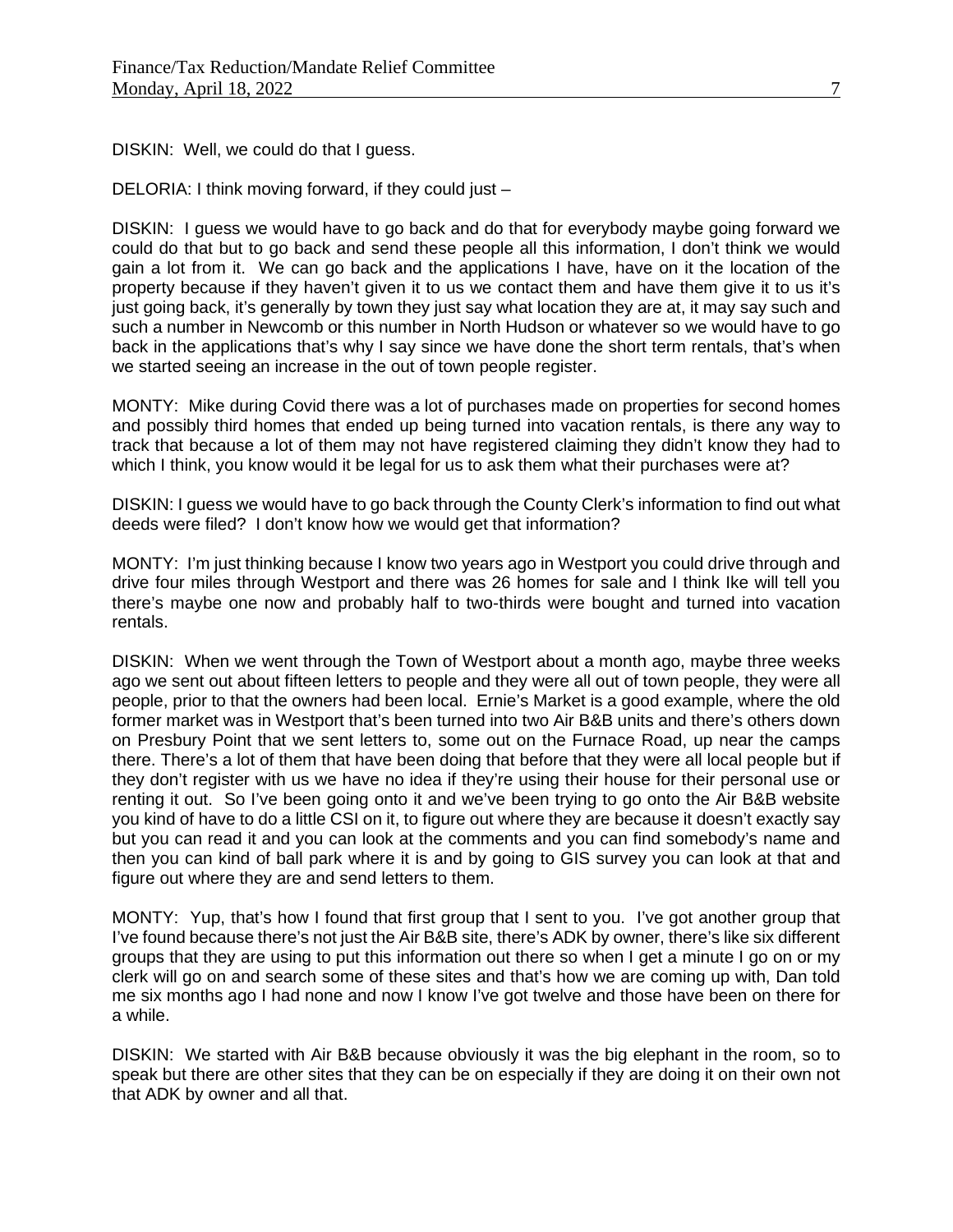DISKIN: Well, we could do that I guess.

DELORIA: I think moving forward, if they could just –

DISKIN: I guess we would have to go back and do that for everybody maybe going forward we could do that but to go back and send these people all this information, I don't think we would gain a lot from it. We can go back and the applications I have, have on it the location of the property because if they haven't given it to us we contact them and have them give it to us it's just going back, it's generally by town they just say what location they are at, it may say such and such a number in Newcomb or this number in North Hudson or whatever so we would have to go back in the applications that's why I say since we have done the short term rentals, that's when we started seeing an increase in the out of town people register.

MONTY: Mike during Covid there was a lot of purchases made on properties for second homes and possibly third homes that ended up being turned into vacation rentals, is there any way to track that because a lot of them may not have registered claiming they didn't know they had to which I think, you know would it be legal for us to ask them what their purchases were at?

DISKIN: I guess we would have to go back through the County Clerk's information to find out what deeds were filed? I don't know how we would get that information?

MONTY: I'm just thinking because I know two years ago in Westport you could drive through and drive four miles through Westport and there was 26 homes for sale and I think Ike will tell you there's maybe one now and probably half to two-thirds were bought and turned into vacation rentals.

DISKIN: When we went through the Town of Westport about a month ago, maybe three weeks ago we sent out about fifteen letters to people and they were all out of town people, they were all people, prior to that the owners had been local. Ernie's Market is a good example, where the old former market was in Westport that's been turned into two Air B&B units and there's others down on Presbury Point that we sent letters to, some out on the Furnace Road, up near the camps there. There's a lot of them that have been doing that before that they were all local people but if they don't register with us we have no idea if they're using their house for their personal use or renting it out. So I've been going onto it and we've been trying to go onto the Air B&B website you kind of have to do a little CSI on it, to figure out where they are because it doesn't exactly say but you can read it and you can look at the comments and you can find somebody's name and then you can kind of ball park where it is and by going to GIS survey you can look at that and figure out where they are and send letters to them.

MONTY: Yup, that's how I found that first group that I sent to you. I've got another group that I've found because there's not just the Air B&B site, there's ADK by owner, there's like six different groups that they are using to put this information out there so when I get a minute I go on or my clerk will go on and search some of these sites and that's how we are coming up with, Dan told me six months ago I had none and now I know I've got twelve and those have been on there for a while.

DISKIN: We started with Air B&B because obviously it was the big elephant in the room, so to speak but there are other sites that they can be on especially if they are doing it on their own not that ADK by owner and all that.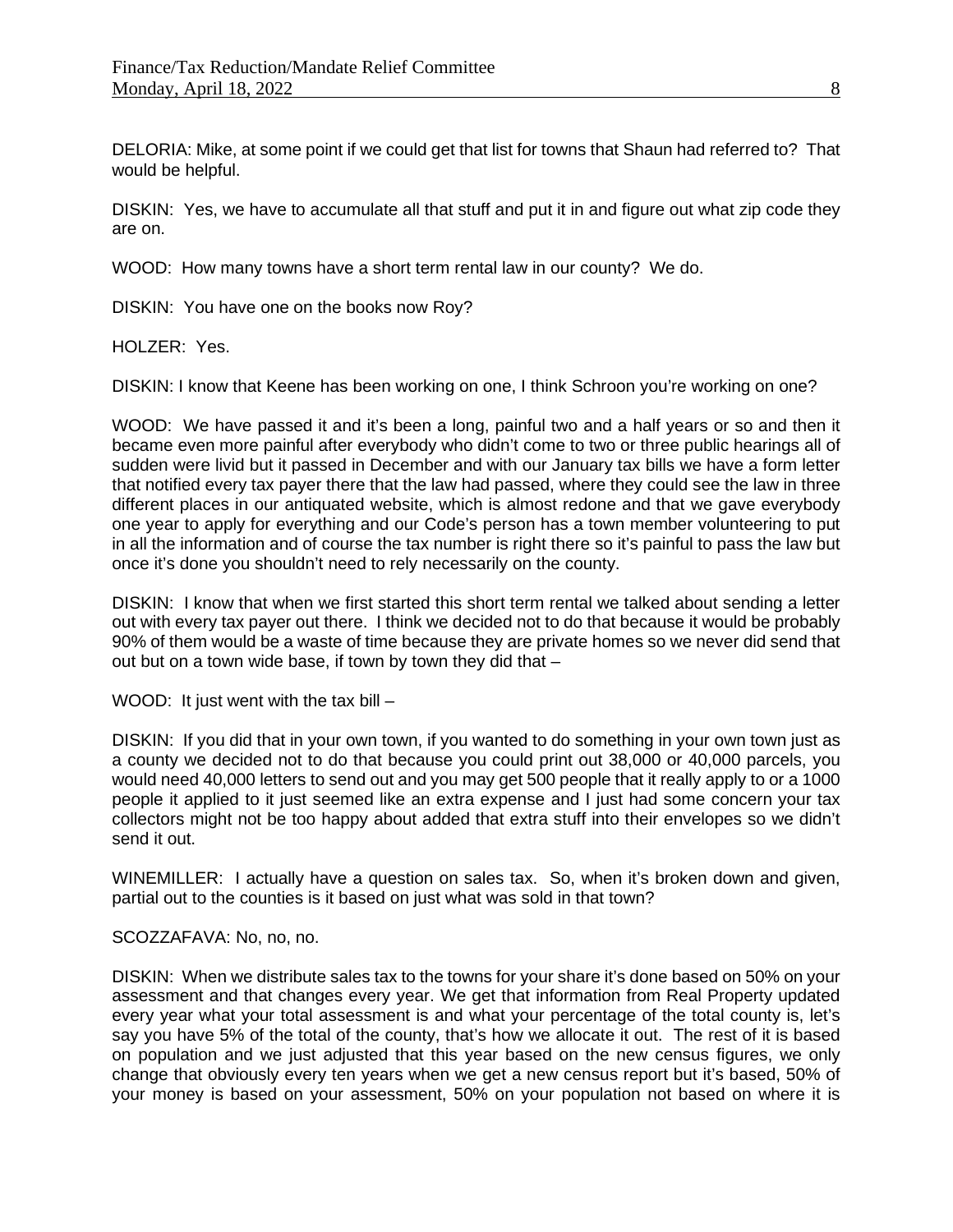DELORIA: Mike, at some point if we could get that list for towns that Shaun had referred to? That would be helpful.

DISKIN: Yes, we have to accumulate all that stuff and put it in and figure out what zip code they are on.

WOOD: How many towns have a short term rental law in our county? We do.

DISKIN: You have one on the books now Roy?

 $H$ OLZER: Yes.

DISKIN: I know that Keene has been working on one, I think Schroon you're working on one?

WOOD: We have passed it and it's been a long, painful two and a half years or so and then it became even more painful after everybody who didn't come to two or three public hearings all of sudden were livid but it passed in December and with our January tax bills we have a form letter that notified every tax payer there that the law had passed, where they could see the law in three different places in our antiquated website, which is almost redone and that we gave everybody one year to apply for everything and our Code's person has a town member volunteering to put in all the information and of course the tax number is right there so it's painful to pass the law but once it's done you shouldn't need to rely necessarily on the county.

DISKIN: I know that when we first started this short term rental we talked about sending a letter out with every tax payer out there. I think we decided not to do that because it would be probably 90% of them would be a waste of time because they are private homes so we never did send that out but on a town wide base, if town by town they did that –

WOOD: It just went with the tax bill –

DISKIN: If you did that in your own town, if you wanted to do something in your own town just as a county we decided not to do that because you could print out 38,000 or 40,000 parcels, you would need 40,000 letters to send out and you may get 500 people that it really apply to or a 1000 people it applied to it just seemed like an extra expense and I just had some concern your tax collectors might not be too happy about added that extra stuff into their envelopes so we didn't send it out.

WINEMILLER: I actually have a question on sales tax. So, when it's broken down and given, partial out to the counties is it based on just what was sold in that town?

### SCOZZAFAVA: No, no, no.

DISKIN: When we distribute sales tax to the towns for your share it's done based on 50% on your assessment and that changes every year. We get that information from Real Property updated every year what your total assessment is and what your percentage of the total county is, let's say you have 5% of the total of the county, that's how we allocate it out. The rest of it is based on population and we just adjusted that this year based on the new census figures, we only change that obviously every ten years when we get a new census report but it's based, 50% of your money is based on your assessment, 50% on your population not based on where it is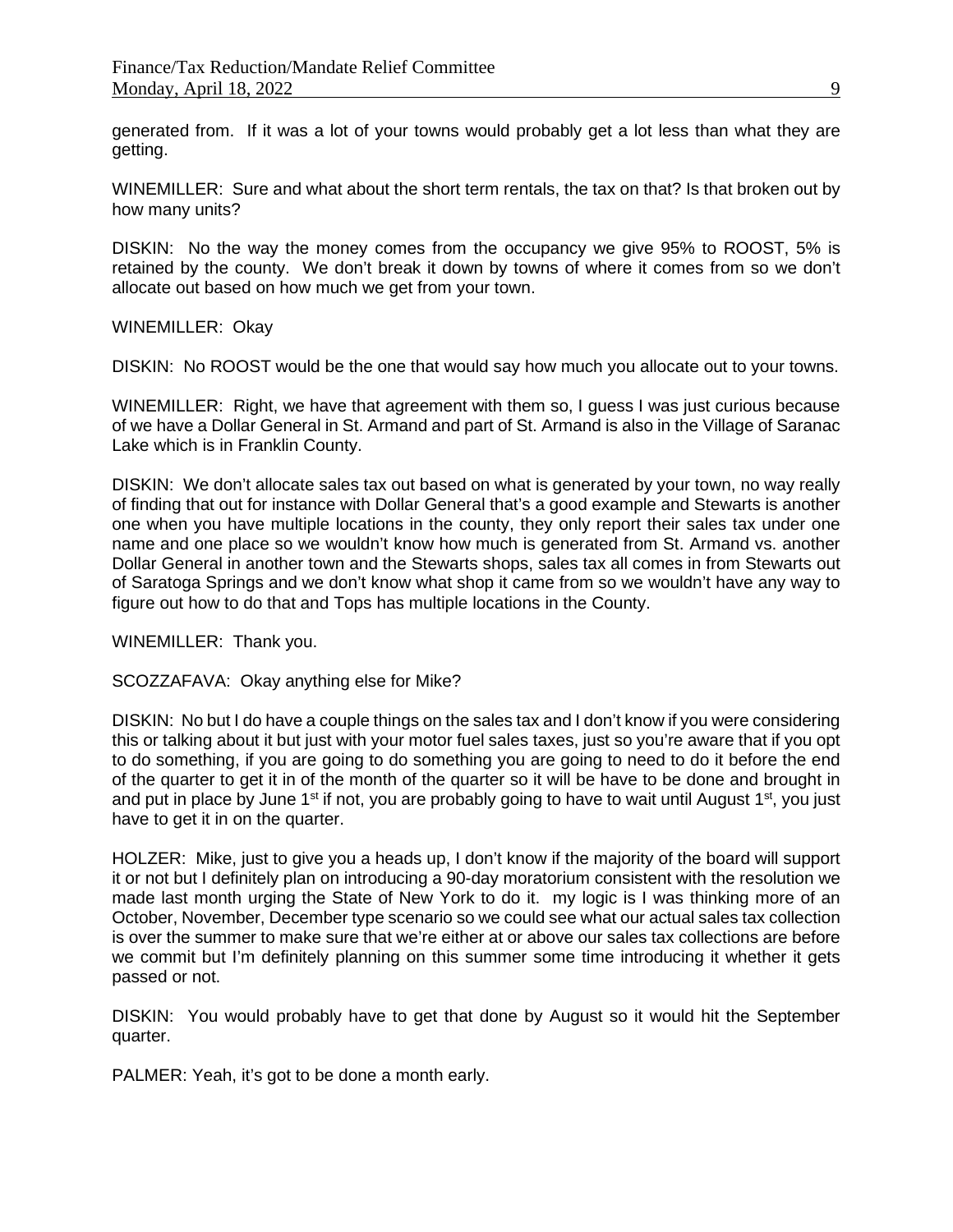generated from. If it was a lot of your towns would probably get a lot less than what they are getting.

WINEMILLER: Sure and what about the short term rentals, the tax on that? Is that broken out by how many units?

DISKIN: No the way the money comes from the occupancy we give 95% to ROOST, 5% is retained by the county. We don't break it down by towns of where it comes from so we don't allocate out based on how much we get from your town.

#### WINEMILLER: Okay

DISKIN: No ROOST would be the one that would say how much you allocate out to your towns.

WINEMILLER: Right, we have that agreement with them so, I guess I was just curious because of we have a Dollar General in St. Armand and part of St. Armand is also in the Village of Saranac Lake which is in Franklin County.

DISKIN: We don't allocate sales tax out based on what is generated by your town, no way really of finding that out for instance with Dollar General that's a good example and Stewarts is another one when you have multiple locations in the county, they only report their sales tax under one name and one place so we wouldn't know how much is generated from St. Armand vs. another Dollar General in another town and the Stewarts shops, sales tax all comes in from Stewarts out of Saratoga Springs and we don't know what shop it came from so we wouldn't have any way to figure out how to do that and Tops has multiple locations in the County.

WINEMILLER: Thank you.

SCOZZAFAVA: Okay anything else for Mike?

DISKIN: No but I do have a couple things on the sales tax and I don't know if you were considering this or talking about it but just with your motor fuel sales taxes, just so you're aware that if you opt to do something, if you are going to do something you are going to need to do it before the end of the quarter to get it in of the month of the quarter so it will be have to be done and brought in and put in place by June 1<sup>st</sup> if not, you are probably going to have to wait until August 1<sup>st</sup>, you just have to get it in on the quarter.

HOLZER: Mike, just to give you a heads up, I don't know if the majority of the board will support it or not but I definitely plan on introducing a 90-day moratorium consistent with the resolution we made last month urging the State of New York to do it. my logic is I was thinking more of an October, November, December type scenario so we could see what our actual sales tax collection is over the summer to make sure that we're either at or above our sales tax collections are before we commit but I'm definitely planning on this summer some time introducing it whether it gets passed or not.

DISKIN: You would probably have to get that done by August so it would hit the September quarter.

PALMER: Yeah, it's got to be done a month early.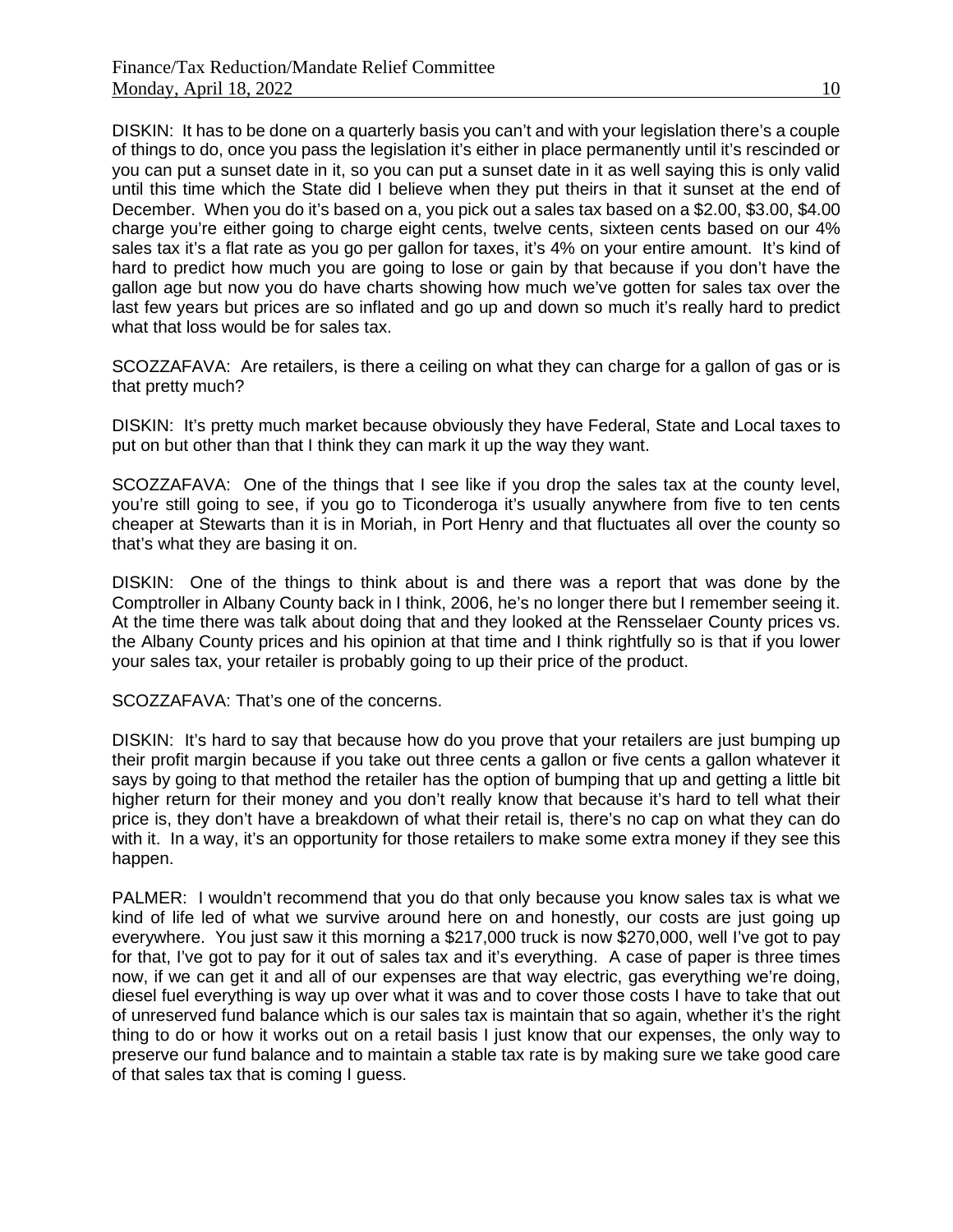DISKIN: It has to be done on a quarterly basis you can't and with your legislation there's a couple of things to do, once you pass the legislation it's either in place permanently until it's rescinded or you can put a sunset date in it, so you can put a sunset date in it as well saying this is only valid until this time which the State did I believe when they put theirs in that it sunset at the end of December. When you do it's based on a, you pick out a sales tax based on a \$2.00, \$3.00, \$4.00 charge you're either going to charge eight cents, twelve cents, sixteen cents based on our 4% sales tax it's a flat rate as you go per gallon for taxes, it's 4% on your entire amount. It's kind of hard to predict how much you are going to lose or gain by that because if you don't have the gallon age but now you do have charts showing how much we've gotten for sales tax over the last few years but prices are so inflated and go up and down so much it's really hard to predict what that loss would be for sales tax.

SCOZZAFAVA: Are retailers, is there a ceiling on what they can charge for a gallon of gas or is that pretty much?

DISKIN: It's pretty much market because obviously they have Federal, State and Local taxes to put on but other than that I think they can mark it up the way they want.

SCOZZAFAVA: One of the things that I see like if you drop the sales tax at the county level, you're still going to see, if you go to Ticonderoga it's usually anywhere from five to ten cents cheaper at Stewarts than it is in Moriah, in Port Henry and that fluctuates all over the county so that's what they are basing it on.

DISKIN: One of the things to think about is and there was a report that was done by the Comptroller in Albany County back in I think, 2006, he's no longer there but I remember seeing it. At the time there was talk about doing that and they looked at the Rensselaer County prices vs. the Albany County prices and his opinion at that time and I think rightfully so is that if you lower your sales tax, your retailer is probably going to up their price of the product.

SCOZZAFAVA: That's one of the concerns.

DISKIN: It's hard to say that because how do you prove that your retailers are just bumping up their profit margin because if you take out three cents a gallon or five cents a gallon whatever it says by going to that method the retailer has the option of bumping that up and getting a little bit higher return for their money and you don't really know that because it's hard to tell what their price is, they don't have a breakdown of what their retail is, there's no cap on what they can do with it. In a way, it's an opportunity for those retailers to make some extra money if they see this happen.

PALMER: I wouldn't recommend that you do that only because you know sales tax is what we kind of life led of what we survive around here on and honestly, our costs are just going up everywhere. You just saw it this morning a \$217,000 truck is now \$270,000, well I've got to pay for that, I've got to pay for it out of sales tax and it's everything. A case of paper is three times now, if we can get it and all of our expenses are that way electric, gas everything we're doing, diesel fuel everything is way up over what it was and to cover those costs I have to take that out of unreserved fund balance which is our sales tax is maintain that so again, whether it's the right thing to do or how it works out on a retail basis I just know that our expenses, the only way to preserve our fund balance and to maintain a stable tax rate is by making sure we take good care of that sales tax that is coming I guess.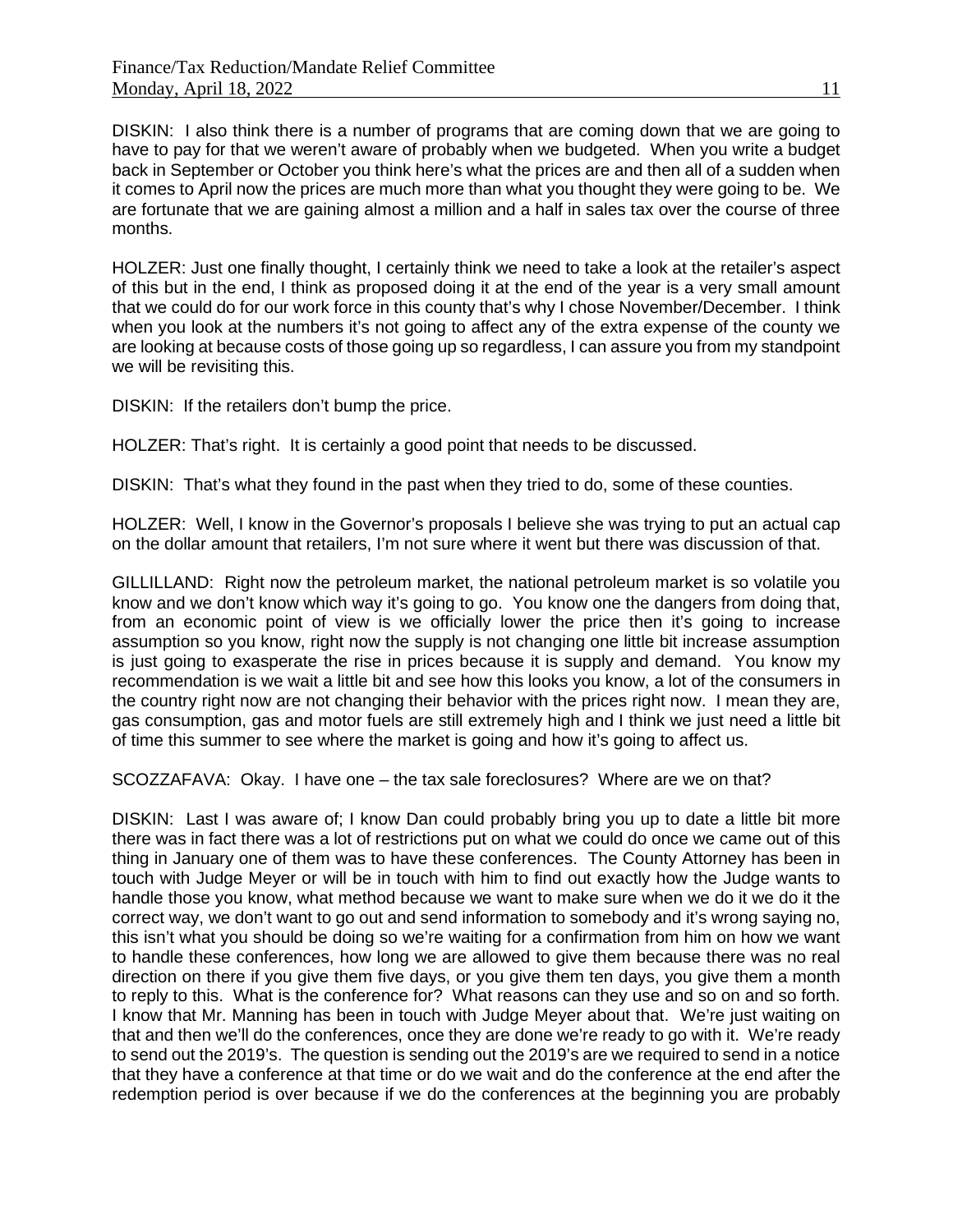DISKIN: I also think there is a number of programs that are coming down that we are going to have to pay for that we weren't aware of probably when we budgeted. When you write a budget back in September or October you think here's what the prices are and then all of a sudden when it comes to April now the prices are much more than what you thought they were going to be. We are fortunate that we are gaining almost a million and a half in sales tax over the course of three months.

HOLZER: Just one finally thought, I certainly think we need to take a look at the retailer's aspect of this but in the end, I think as proposed doing it at the end of the year is a very small amount that we could do for our work force in this county that's why I chose November/December. I think when you look at the numbers it's not going to affect any of the extra expense of the county we are looking at because costs of those going up so regardless, I can assure you from my standpoint we will be revisiting this.

DISKIN: If the retailers don't bump the price.

HOLZER: That's right. It is certainly a good point that needs to be discussed.

DISKIN: That's what they found in the past when they tried to do, some of these counties.

HOLZER: Well, I know in the Governor's proposals I believe she was trying to put an actual cap on the dollar amount that retailers, I'm not sure where it went but there was discussion of that.

GILLILLAND: Right now the petroleum market, the national petroleum market is so volatile you know and we don't know which way it's going to go. You know one the dangers from doing that, from an economic point of view is we officially lower the price then it's going to increase assumption so you know, right now the supply is not changing one little bit increase assumption is just going to exasperate the rise in prices because it is supply and demand. You know my recommendation is we wait a little bit and see how this looks you know, a lot of the consumers in the country right now are not changing their behavior with the prices right now. I mean they are, gas consumption, gas and motor fuels are still extremely high and I think we just need a little bit of time this summer to see where the market is going and how it's going to affect us.

SCOZZAFAVA: Okay. I have one – the tax sale foreclosures? Where are we on that?

DISKIN: Last I was aware of; I know Dan could probably bring you up to date a little bit more there was in fact there was a lot of restrictions put on what we could do once we came out of this thing in January one of them was to have these conferences. The County Attorney has been in touch with Judge Meyer or will be in touch with him to find out exactly how the Judge wants to handle those you know, what method because we want to make sure when we do it we do it the correct way, we don't want to go out and send information to somebody and it's wrong saying no, this isn't what you should be doing so we're waiting for a confirmation from him on how we want to handle these conferences, how long we are allowed to give them because there was no real direction on there if you give them five days, or you give them ten days, you give them a month to reply to this. What is the conference for? What reasons can they use and so on and so forth. I know that Mr. Manning has been in touch with Judge Meyer about that. We're just waiting on that and then we'll do the conferences, once they are done we're ready to go with it. We're ready to send out the 2019's. The question is sending out the 2019's are we required to send in a notice that they have a conference at that time or do we wait and do the conference at the end after the redemption period is over because if we do the conferences at the beginning you are probably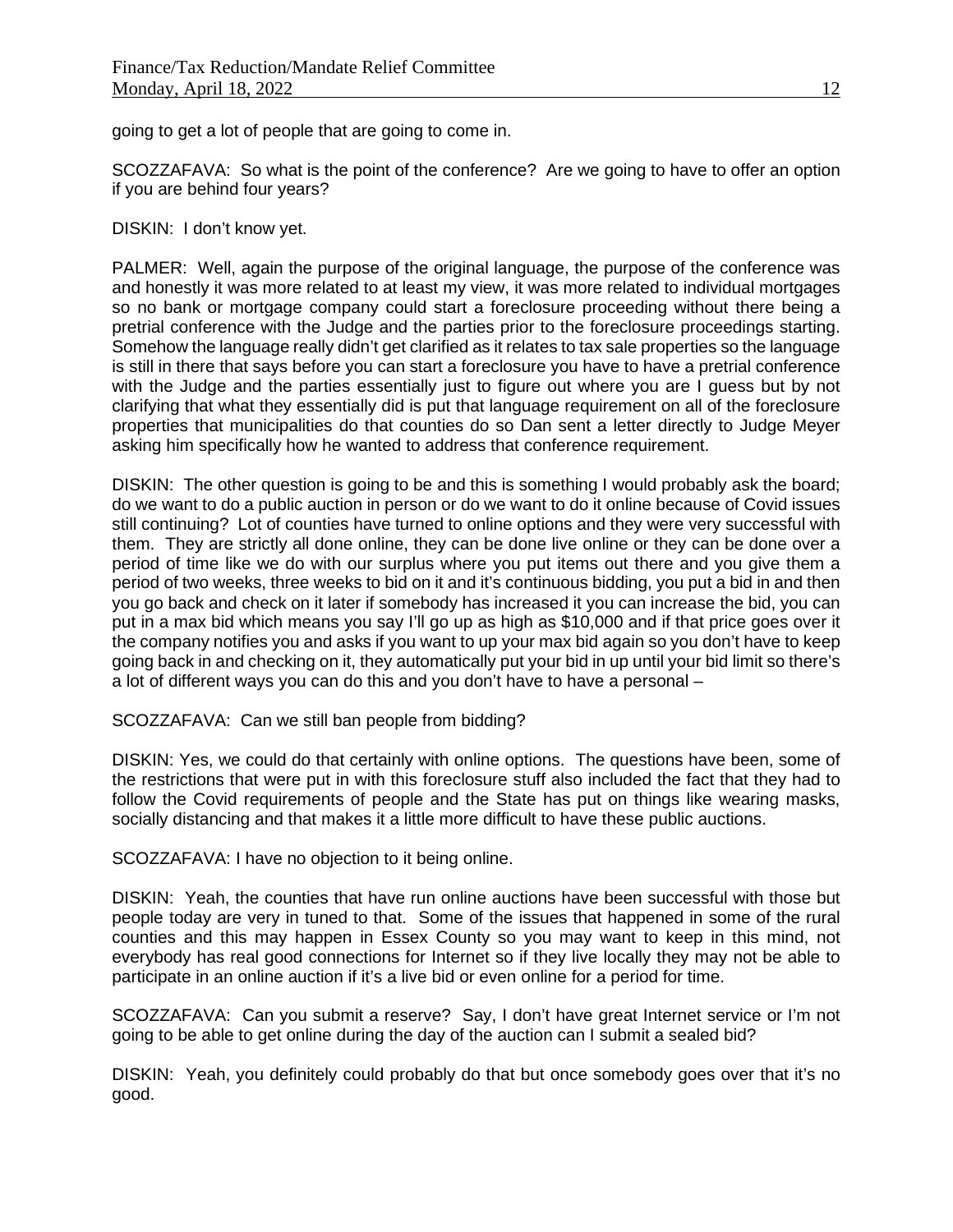going to get a lot of people that are going to come in.

SCOZZAFAVA: So what is the point of the conference? Are we going to have to offer an option if you are behind four years?

DISKIN: I don't know yet.

PALMER: Well, again the purpose of the original language, the purpose of the conference was and honestly it was more related to at least my view, it was more related to individual mortgages so no bank or mortgage company could start a foreclosure proceeding without there being a pretrial conference with the Judge and the parties prior to the foreclosure proceedings starting. Somehow the language really didn't get clarified as it relates to tax sale properties so the language is still in there that says before you can start a foreclosure you have to have a pretrial conference with the Judge and the parties essentially just to figure out where you are I guess but by not clarifying that what they essentially did is put that language requirement on all of the foreclosure properties that municipalities do that counties do so Dan sent a letter directly to Judge Meyer asking him specifically how he wanted to address that conference requirement.

DISKIN: The other question is going to be and this is something I would probably ask the board; do we want to do a public auction in person or do we want to do it online because of Covid issues still continuing? Lot of counties have turned to online options and they were very successful with them. They are strictly all done online, they can be done live online or they can be done over a period of time like we do with our surplus where you put items out there and you give them a period of two weeks, three weeks to bid on it and it's continuous bidding, you put a bid in and then you go back and check on it later if somebody has increased it you can increase the bid, you can put in a max bid which means you say I'll go up as high as \$10,000 and if that price goes over it the company notifies you and asks if you want to up your max bid again so you don't have to keep going back in and checking on it, they automatically put your bid in up until your bid limit so there's a lot of different ways you can do this and you don't have to have a personal –

SCOZZAFAVA: Can we still ban people from bidding?

DISKIN: Yes, we could do that certainly with online options. The questions have been, some of the restrictions that were put in with this foreclosure stuff also included the fact that they had to follow the Covid requirements of people and the State has put on things like wearing masks, socially distancing and that makes it a little more difficult to have these public auctions.

SCOZZAFAVA: I have no objection to it being online.

DISKIN: Yeah, the counties that have run online auctions have been successful with those but people today are very in tuned to that. Some of the issues that happened in some of the rural counties and this may happen in Essex County so you may want to keep in this mind, not everybody has real good connections for Internet so if they live locally they may not be able to participate in an online auction if it's a live bid or even online for a period for time.

SCOZZAFAVA: Can you submit a reserve? Say, I don't have great Internet service or I'm not going to be able to get online during the day of the auction can I submit a sealed bid?

DISKIN: Yeah, you definitely could probably do that but once somebody goes over that it's no good.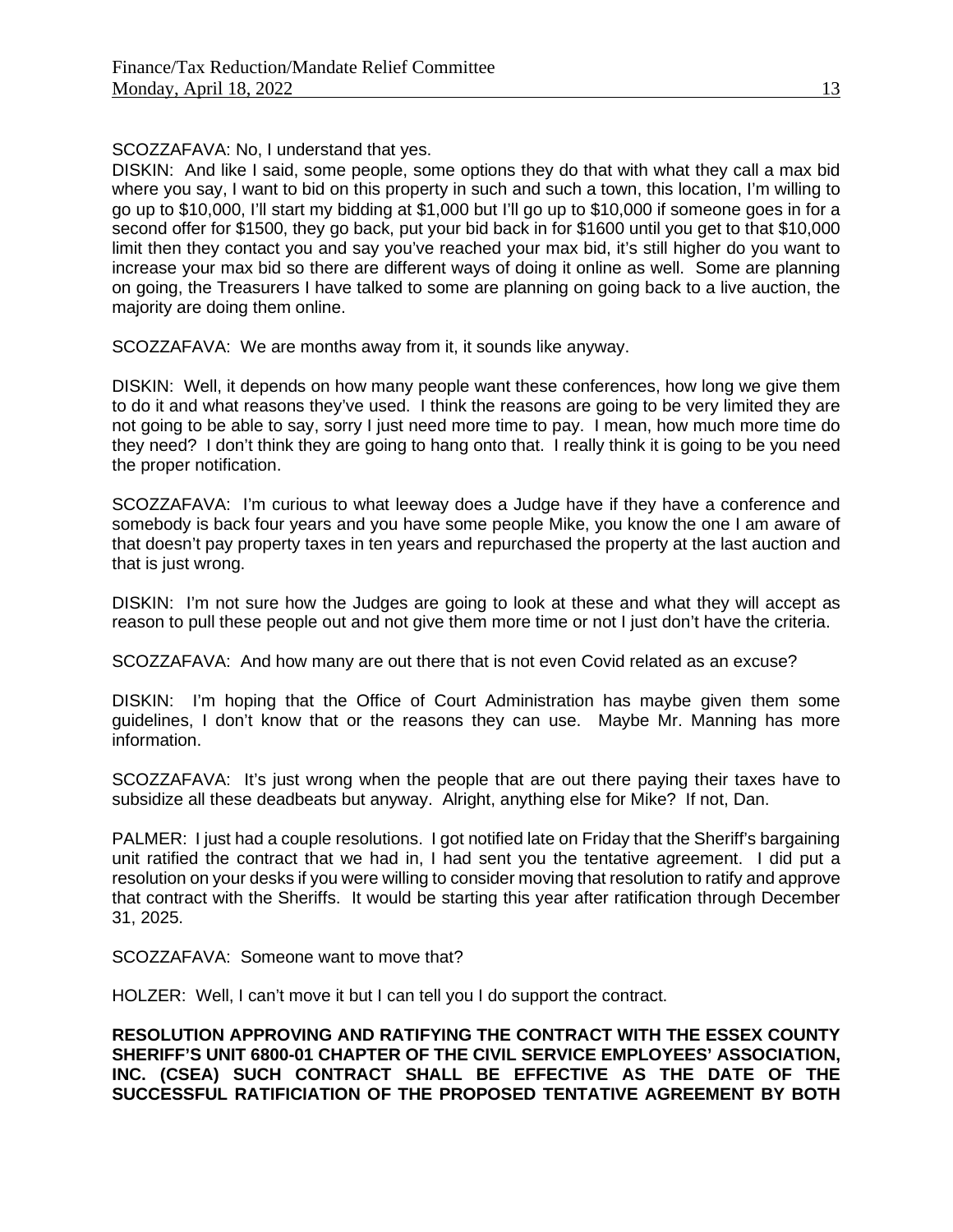# SCOZZAFAVA: No, I understand that yes.

DISKIN: And like I said, some people, some options they do that with what they call a max bid where you say, I want to bid on this property in such and such a town, this location, I'm willing to go up to \$10,000, I'll start my bidding at \$1,000 but I'll go up to \$10,000 if someone goes in for a second offer for \$1500, they go back, put your bid back in for \$1600 until you get to that \$10,000 limit then they contact you and say you've reached your max bid, it's still higher do you want to increase your max bid so there are different ways of doing it online as well. Some are planning on going, the Treasurers I have talked to some are planning on going back to a live auction, the majority are doing them online.

SCOZZAFAVA: We are months away from it, it sounds like anyway.

DISKIN: Well, it depends on how many people want these conferences, how long we give them to do it and what reasons they've used. I think the reasons are going to be very limited they are not going to be able to say, sorry I just need more time to pay. I mean, how much more time do they need? I don't think they are going to hang onto that. I really think it is going to be you need the proper notification.

SCOZZAFAVA: I'm curious to what leeway does a Judge have if they have a conference and somebody is back four years and you have some people Mike, you know the one I am aware of that doesn't pay property taxes in ten years and repurchased the property at the last auction and that is just wrong.

DISKIN: I'm not sure how the Judges are going to look at these and what they will accept as reason to pull these people out and not give them more time or not I just don't have the criteria.

SCOZZAFAVA: And how many are out there that is not even Covid related as an excuse?

DISKIN: I'm hoping that the Office of Court Administration has maybe given them some guidelines, I don't know that or the reasons they can use. Maybe Mr. Manning has more information.

SCOZZAFAVA: It's just wrong when the people that are out there paying their taxes have to subsidize all these deadbeats but anyway. Alright, anything else for Mike? If not, Dan.

PALMER: I just had a couple resolutions. I got notified late on Friday that the Sheriff's bargaining unit ratified the contract that we had in, I had sent you the tentative agreement. I did put a resolution on your desks if you were willing to consider moving that resolution to ratify and approve that contract with the Sheriffs. It would be starting this year after ratification through December 31, 2025.

SCOZZAFAVA: Someone want to move that?

HOLZER: Well, I can't move it but I can tell you I do support the contract.

**RESOLUTION APPROVING AND RATIFYING THE CONTRACT WITH THE ESSEX COUNTY SHERIFF'S UNIT 6800-01 CHAPTER OF THE CIVIL SERVICE EMPLOYEES' ASSOCIATION, INC. (CSEA) SUCH CONTRACT SHALL BE EFFECTIVE AS THE DATE OF THE SUCCESSFUL RATIFICIATION OF THE PROPOSED TENTATIVE AGREEMENT BY BOTH**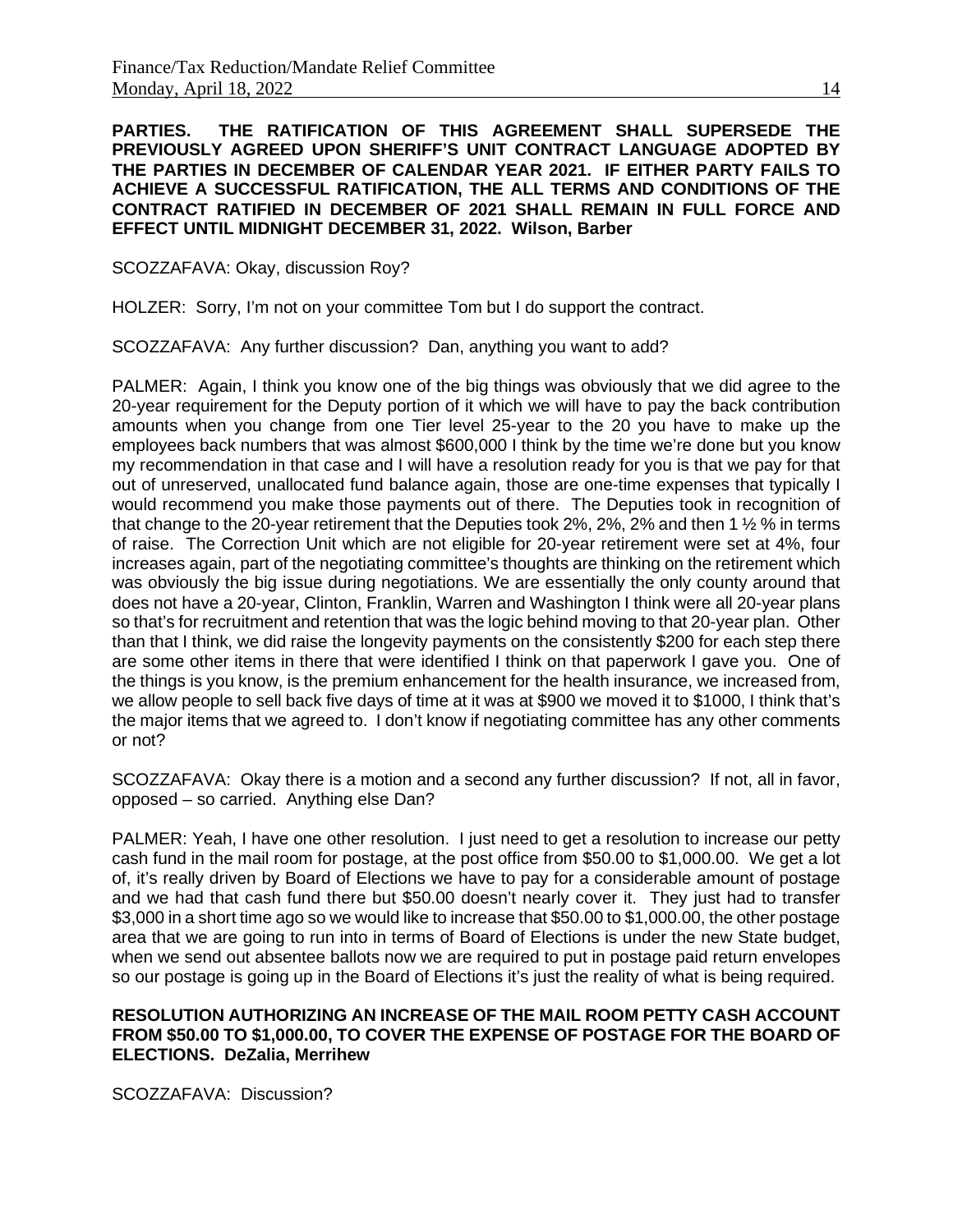**PARTIES. THE RATIFICATION OF THIS AGREEMENT SHALL SUPERSEDE THE PREVIOUSLY AGREED UPON SHERIFF'S UNIT CONTRACT LANGUAGE ADOPTED BY THE PARTIES IN DECEMBER OF CALENDAR YEAR 2021. IF EITHER PARTY FAILS TO ACHIEVE A SUCCESSFUL RATIFICATION, THE ALL TERMS AND CONDITIONS OF THE CONTRACT RATIFIED IN DECEMBER OF 2021 SHALL REMAIN IN FULL FORCE AND EFFECT UNTIL MIDNIGHT DECEMBER 31, 2022. Wilson, Barber**

SCOZZAFAVA: Okay, discussion Roy?

HOLZER: Sorry, I'm not on your committee Tom but I do support the contract.

SCOZZAFAVA: Any further discussion? Dan, anything you want to add?

PALMER: Again, I think you know one of the big things was obviously that we did agree to the 20-year requirement for the Deputy portion of it which we will have to pay the back contribution amounts when you change from one Tier level 25-year to the 20 you have to make up the employees back numbers that was almost \$600,000 I think by the time we're done but you know my recommendation in that case and I will have a resolution ready for you is that we pay for that out of unreserved, unallocated fund balance again, those are one-time expenses that typically I would recommend you make those payments out of there. The Deputies took in recognition of that change to the 20-year retirement that the Deputies took 2%, 2%, 2% and then 1 ½ % in terms of raise. The Correction Unit which are not eligible for 20-year retirement were set at 4%, four increases again, part of the negotiating committee's thoughts are thinking on the retirement which was obviously the big issue during negotiations. We are essentially the only county around that does not have a 20-year, Clinton, Franklin, Warren and Washington I think were all 20-year plans so that's for recruitment and retention that was the logic behind moving to that 20-year plan. Other than that I think, we did raise the longevity payments on the consistently \$200 for each step there are some other items in there that were identified I think on that paperwork I gave you. One of the things is you know, is the premium enhancement for the health insurance, we increased from, we allow people to sell back five days of time at it was at \$900 we moved it to \$1000, I think that's the major items that we agreed to. I don't know if negotiating committee has any other comments or not?

SCOZZAFAVA: Okay there is a motion and a second any further discussion? If not, all in favor, opposed – so carried. Anything else Dan?

PALMER: Yeah, I have one other resolution. I just need to get a resolution to increase our petty cash fund in the mail room for postage, at the post office from \$50.00 to \$1,000.00. We get a lot of, it's really driven by Board of Elections we have to pay for a considerable amount of postage and we had that cash fund there but \$50.00 doesn't nearly cover it. They just had to transfer \$3,000 in a short time ago so we would like to increase that \$50.00 to \$1,000.00, the other postage area that we are going to run into in terms of Board of Elections is under the new State budget, when we send out absentee ballots now we are required to put in postage paid return envelopes so our postage is going up in the Board of Elections it's just the reality of what is being required.

### **RESOLUTION AUTHORIZING AN INCREASE OF THE MAIL ROOM PETTY CASH ACCOUNT FROM \$50.00 TO \$1,000.00, TO COVER THE EXPENSE OF POSTAGE FOR THE BOARD OF ELECTIONS. DeZalia, Merrihew**

SCOZZAFAVA: Discussion?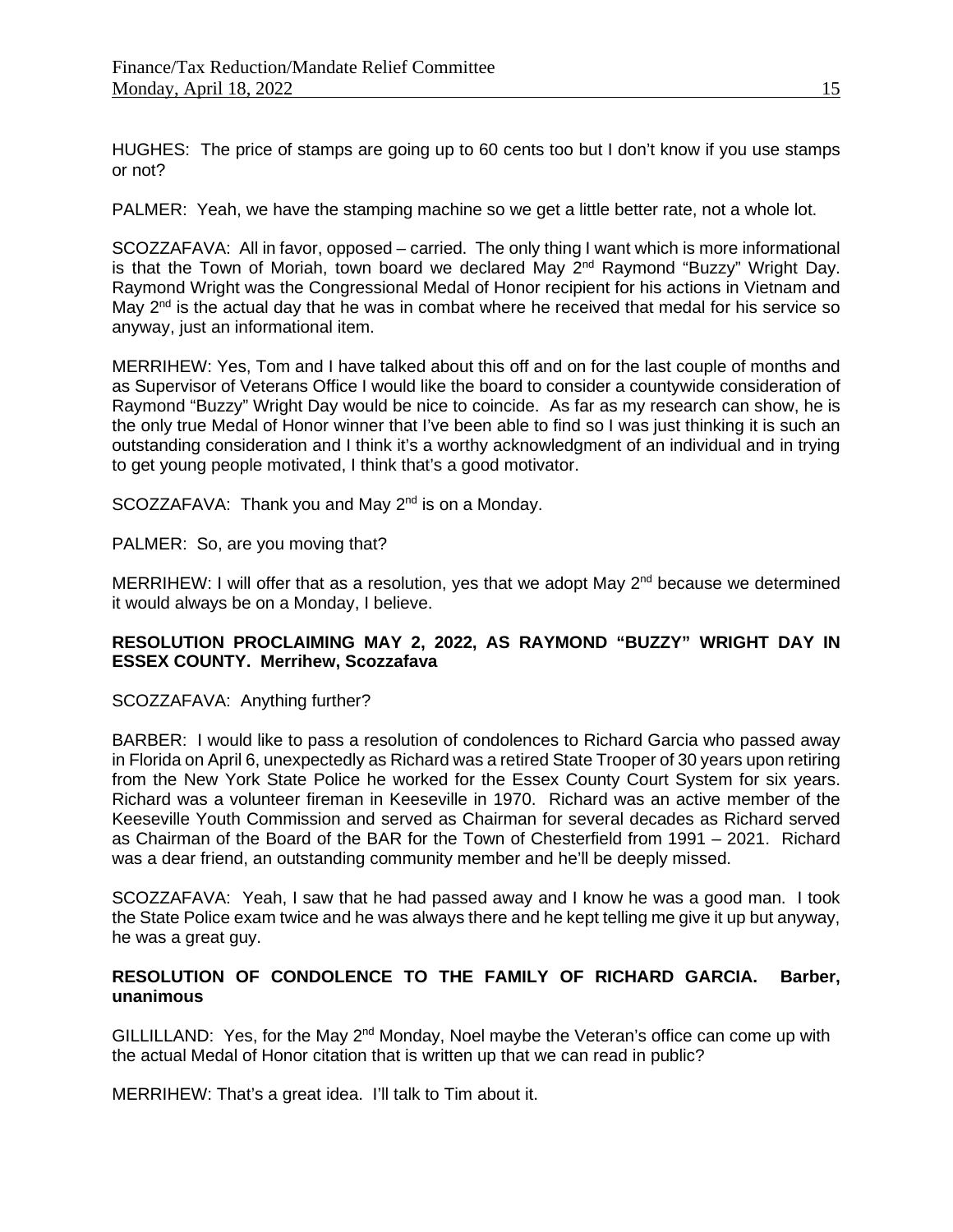HUGHES: The price of stamps are going up to 60 cents too but I don't know if you use stamps or not?

PALMER: Yeah, we have the stamping machine so we get a little better rate, not a whole lot.

SCOZZAFAVA: All in favor, opposed – carried. The only thing I want which is more informational is that the Town of Moriah, town board we declared May 2<sup>nd</sup> Raymond "Buzzy" Wright Day. Raymond Wright was the Congressional Medal of Honor recipient for his actions in Vietnam and May 2<sup>nd</sup> is the actual day that he was in combat where he received that medal for his service so anyway, just an informational item.

MERRIHEW: Yes, Tom and I have talked about this off and on for the last couple of months and as Supervisor of Veterans Office I would like the board to consider a countywide consideration of Raymond "Buzzy" Wright Day would be nice to coincide. As far as my research can show, he is the only true Medal of Honor winner that I've been able to find so I was just thinking it is such an outstanding consideration and I think it's a worthy acknowledgment of an individual and in trying to get young people motivated, I think that's a good motivator.

SCOZZAFAVA: Thank you and May  $2^{nd}$  is on a Monday.

PALMER: So, are you moving that?

MERRIHEW: I will offer that as a resolution, yes that we adopt May  $2<sup>nd</sup>$  because we determined it would always be on a Monday, I believe.

# **RESOLUTION PROCLAIMING MAY 2, 2022, AS RAYMOND "BUZZY" WRIGHT DAY IN ESSEX COUNTY. Merrihew, Scozzafava**

# SCOZZAFAVA: Anything further?

BARBER: I would like to pass a resolution of condolences to Richard Garcia who passed away in Florida on April 6, unexpectedly as Richard was a retired State Trooper of 30 years upon retiring from the New York State Police he worked for the Essex County Court System for six years. Richard was a volunteer fireman in Keeseville in 1970. Richard was an active member of the Keeseville Youth Commission and served as Chairman for several decades as Richard served as Chairman of the Board of the BAR for the Town of Chesterfield from 1991 – 2021. Richard was a dear friend, an outstanding community member and he'll be deeply missed.

SCOZZAFAVA: Yeah, I saw that he had passed away and I know he was a good man. I took the State Police exam twice and he was always there and he kept telling me give it up but anyway, he was a great guy.

# **RESOLUTION OF CONDOLENCE TO THE FAMILY OF RICHARD GARCIA. Barber, unanimous**

GILLILLAND: Yes, for the May  $2^{nd}$  Monday, Noel maybe the Veteran's office can come up with the actual Medal of Honor citation that is written up that we can read in public?

MERRIHEW: That's a great idea. I'll talk to Tim about it.